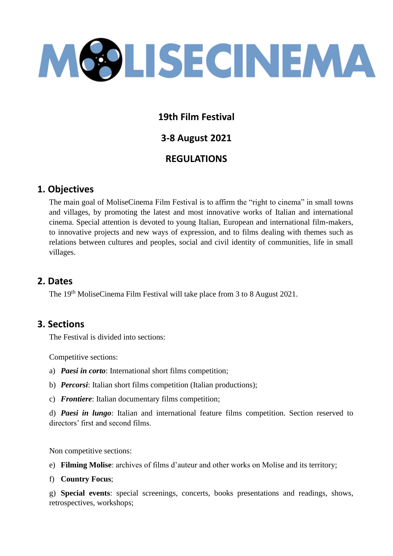

## **19th Film Festival**

**3-8 August 2021**

# **REGULATIONS**

## **1. Objectives**

The main goal of MoliseCinema Film Festival is to affirm the "right to cinema" in small towns and villages, by promoting the latest and most innovative works of Italian and international cinema. Special attention is devoted to young Italian, European and international film-makers, to innovative projects and new ways of expression, and to films dealing with themes such as relations between cultures and peoples, social and civil identity of communities, life in small villages.

### **2. Dates**

The 19th MoliseCinema Film Festival will take place from 3 to 8 August 2021.

### **3. Sections**

The Festival is divided into sections:

Competitive sections:

- a) *Paesi in corto*: International short films competition;
- b) *Percorsi*: Italian short films competition (Italian productions);
- c) *Frontiere*: Italian documentary films competition;

d) *Paesi in lungo*: Italian and international feature films competition. Section reserved to directors' first and second films.

Non competitive sections:

e) **Filming Molise**: archives of films d'auteur and other works on Molise and its territory;

f) **Country Focus**;

g) **Special events**: special screenings, concerts, books presentations and readings, shows, retrospectives, workshops;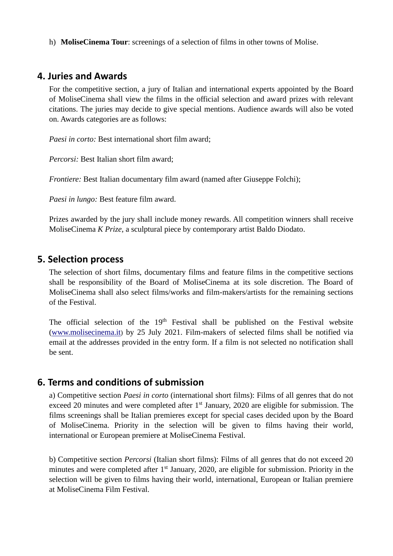h) **MoliseCinema Tour**: screenings of a selection of films in other towns of Molise.

#### **4. Juries and Awards**

For the competitive section, a jury of Italian and international experts appointed by the Board of MoliseCinema shall view the films in the official selection and award prizes with relevant citations. The juries may decide to give special mentions. Audience awards will also be voted on. Awards categories are as follows:

*Paesi in corto:* Best international short film award:

*Percorsi:* Best Italian short film award;

*Frontiere:* Best Italian documentary film award (named after Giuseppe Folchi);

*Paesi in lungo:* Best feature film award.

Prizes awarded by the jury shall include money rewards. All competition winners shall receive MoliseCinema *K Prize*, a sculptural piece by contemporary artist Baldo Diodato.

#### **5. Selection process**

The selection of short films, documentary films and feature films in the competitive sections shall be responsibility of the Board of MoliseCinema at its sole discretion. The Board of MoliseCinema shall also select films/works and film-makers/artists for the remaining sections of the Festival.

The official selection of the  $19<sup>th</sup>$  Festival shall be published on the Festival website [\(www.molisecinema.it](http://www.molisecinema.it/)) by 25 July 2021. Film-makers of selected films shall be notified via email at the addresses provided in the entry form. If a film is not selected no notification shall be sent.

#### **6. Terms and conditions of submission**

a) Competitive section *Paesi in corto* (international short films): Films of all genres that do not exceed 20 minutes and were completed after 1<sup>st</sup> January, 2020 are eligible for submission. The films screenings shall be Italian premieres except for special cases decided upon by the Board of MoliseCinema. Priority in the selection will be given to films having their world, international or European premiere at MoliseCinema Festival.

b) Competitive section *Percorsi* (Italian short films): Films of all genres that do not exceed 20 minutes and were completed after 1<sup>st</sup> January, 2020, are eligible for submission. Priority in the selection will be given to films having their world, international, European or Italian premiere at MoliseCinema Film Festival.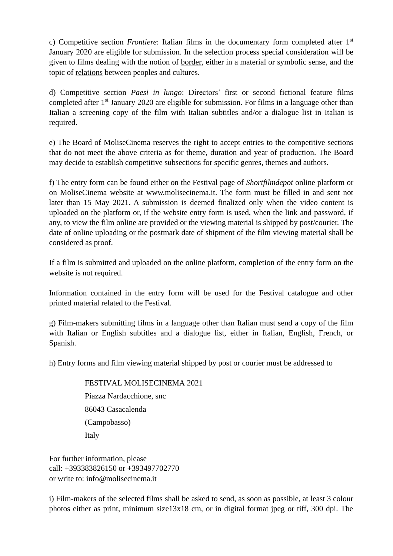c) Competitive section *Frontiere*: Italian films in the documentary form completed after 1st January 2020 are eligible for submission. In the selection process special consideration will be given to films dealing with the notion of border, either in a material or symbolic sense, and the topic of relations between peoples and cultures.

d) Competitive section *Paesi in lungo*: Directors' first or second fictional feature films completed after  $1<sup>st</sup>$  January 2020 are eligible for submission. For films in a language other than Italian a screening copy of the film with Italian subtitles and/or a dialogue list in Italian is required.

e) The Board of MoliseCinema reserves the right to accept entries to the competitive sections that do not meet the above criteria as for theme, duration and year of production. The Board may decide to establish competitive subsections for specific genres, themes and authors.

f) The entry form can be found either on the Festival page of *Shortfilmdepot* online platform or on MoliseCinema website at [www.molisecinema.it.](http://www.molisecinema.it/) The form must be filled in and sent not later than 15 May 2021. A submission is deemed finalized only when the video content is uploaded on the platform or, if the website entry form is used, when the link and password, if any, to view the film online are provided or the viewing material is shipped by post/courier. The date of online uploading or the postmark date of shipment of the film viewing material shall be considered as proof.

If a film is submitted and uploaded on the online platform, completion of the entry form on the website is not required.

Information contained in the entry form will be used for the Festival catalogue and other printed material related to the Festival.

g) Film-makers submitting films in a language other than Italian must send a copy of the film with Italian or English subtitles and a dialogue list, either in Italian, English, French, or Spanish.

h) Entry forms and film viewing material shipped by post or courier must be addressed to

FESTIVAL MOLISECINEMA 2021 Piazza Nardacchione, snc 86043 Casacalenda (Campobasso) Italy

For further information, please call: +393383826150 or +393497702770 or write to: info@molisecinema.it

i) Film-makers of the selected films shall be asked to send, as soon as possible, at least 3 colour photos either as print, minimum size13x18 cm, or in digital format jpeg or tiff, 300 dpi. The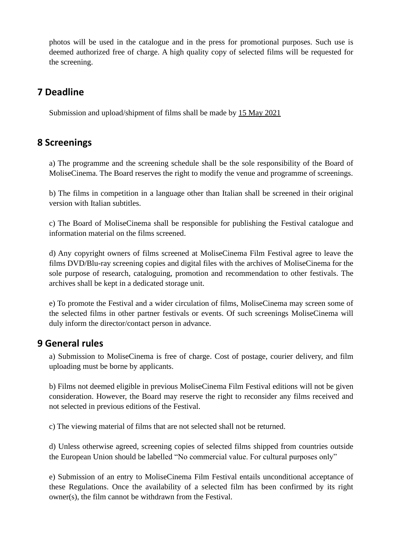photos will be used in the catalogue and in the press for promotional purposes. Such use is deemed authorized free of charge. A high quality copy of selected films will be requested for the screening.

# **7 Deadline**

Submission and upload/shipment of films shall be made by 15 May 2021

## **8 Screenings**

a) The programme and the screening schedule shall be the sole responsibility of the Board of MoliseCinema. The Board reserves the right to modify the venue and programme of screenings.

b) The films in competition in a language other than Italian shall be screened in their original version with Italian subtitles.

c) The Board of MoliseCinema shall be responsible for publishing the Festival catalogue and information material on the films screened.

d) Any copyright owners of films screened at MoliseCinema Film Festival agree to leave the films DVD/Blu-ray screening copies and digital files with the archives of MoliseCinema for the sole purpose of research, cataloguing, promotion and recommendation to other festivals. The archives shall be kept in a dedicated storage unit.

e) To promote the Festival and a wider circulation of films, MoliseCinema may screen some of the selected films in other partner festivals or events. Of such screenings MoliseCinema will duly inform the director/contact person in advance.

### **9 General rules**

a) Submission to MoliseCinema is free of charge. Cost of postage, courier delivery, and film uploading must be borne by applicants.

b) Films not deemed eligible in previous MoliseCinema Film Festival editions will not be given consideration. However, the Board may reserve the right to reconsider any films received and not selected in previous editions of the Festival.

c) The viewing material of films that are not selected shall not be returned.

d) Unless otherwise agreed, screening copies of selected films shipped from countries outside the European Union should be labelled "No commercial value. For cultural purposes only"

e) Submission of an entry to MoliseCinema Film Festival entails unconditional acceptance of these Regulations. Once the availability of a selected film has been confirmed by its right owner(s), the film cannot be withdrawn from the Festival.